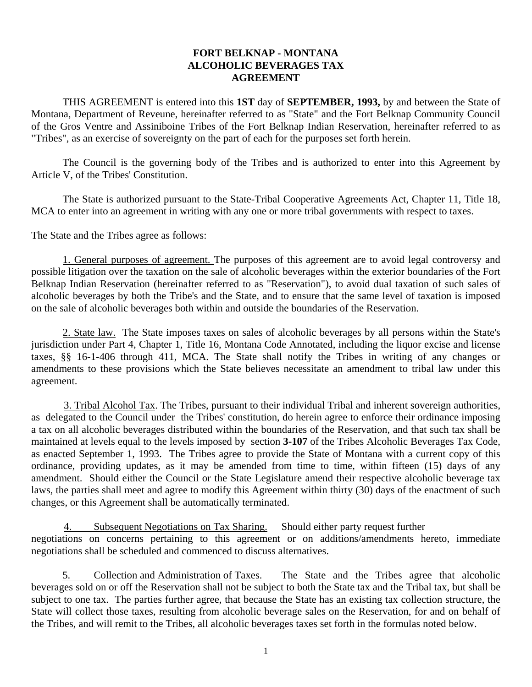## **FORT BELKNAP - MONTANA ALCOHOLIC BEVERAGES TAX AGREEMENT**

THIS AGREEMENT is entered into this **1ST** day of **SEPTEMBER, 1993,** by and between the State of Montana, Department of Reveune, hereinafter referred to as "State" and the Fort Belknap Community Council of the Gros Ventre and Assiniboine Tribes of the Fort Belknap Indian Reservation, hereinafter referred to as "Tribes", as an exercise of sovereignty on the part of each for the purposes set forth herein.

The Council is the governing body of the Tribes and is authorized to enter into this Agreement by Article V, of the Tribes' Constitution.

The State is authorized pursuant to the State-Tribal Cooperative Agreements Act, Chapter 11, Title 18, MCA to enter into an agreement in writing with any one or more tribal governments with respect to taxes.

The State and the Tribes agree as follows:

1. General purposes of agreement. The purposes of this agreement are to avoid legal controversy and possible litigation over the taxation on the sale of alcoholic beverages within the exterior boundaries of the Fort Belknap Indian Reservation (hereinafter referred to as "Reservation"), to avoid dual taxation of such sales of alcoholic beverages by both the Tribe's and the State, and to ensure that the same level of taxation is imposed on the sale of alcoholic beverages both within and outside the boundaries of the Reservation.

2. State law. The State imposes taxes on sales of alcoholic beverages by all persons within the State's jurisdiction under Part 4, Chapter 1, Title 16, Montana Code Annotated, including the liquor excise and license taxes, §§ 16-1-406 through 411, MCA. The State shall notify the Tribes in writing of any changes or amendments to these provisions which the State believes necessitate an amendment to tribal law under this agreement.

3. Tribal Alcohol Tax. The Tribes, pursuant to their individual Tribal and inherent sovereign authorities, as delegated to the Council under the Tribes' constitution, do herein agree to enforce their ordinance imposing a tax on all alcoholic beverages distributed within the boundaries of the Reservation, and that such tax shall be maintained at levels equal to the levels imposed by section **3-107** of the Tribes Alcoholic Beverages Tax Code, as enacted September 1, 1993. The Tribes agree to provide the State of Montana with a current copy of this ordinance, providing updates, as it may be amended from time to time, within fifteen (15) days of any amendment. Should either the Council or the State Legislature amend their respective alcoholic beverage tax laws, the parties shall meet and agree to modify this Agreement within thirty (30) days of the enactment of such changes, or this Agreement shall be automatically terminated.

4. Subsequent Negotiations on Tax Sharing. Should either party request further negotiations on concerns pertaining to this agreement or on additions/amendments hereto, immediate negotiations shall be scheduled and commenced to discuss alternatives.

5. Collection and Administration of Taxes. The State and the Tribes agree that alcoholic beverages sold on or off the Reservation shall not be subject to both the State tax and the Tribal tax, but shall be subject to one tax. The parties further agree, that because the State has an existing tax collection structure, the State will collect those taxes, resulting from alcoholic beverage sales on the Reservation, for and on behalf of the Tribes, and will remit to the Tribes, all alcoholic beverages taxes set forth in the formulas noted below.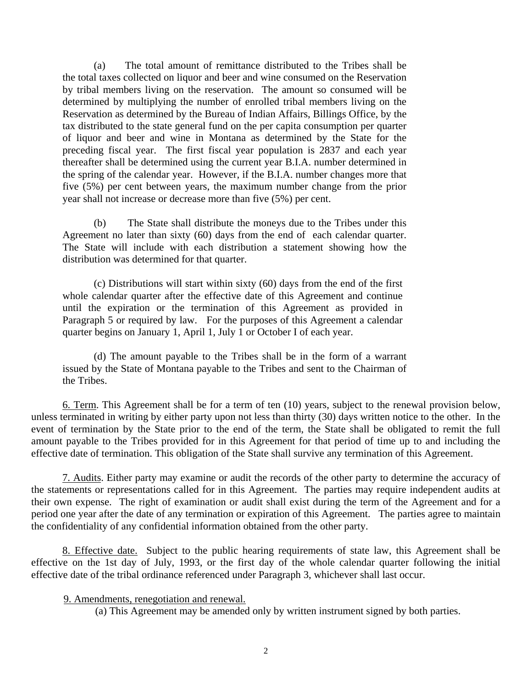(a) The total amount of remittance distributed to the Tribes shall be the total taxes collected on liquor and beer and wine consumed on the Reservation by tribal members living on the reservation. The amount so consumed will be determined by multiplying the number of enrolled tribal members living on the Reservation as determined by the Bureau of Indian Affairs, Billings Office, by the tax distributed to the state general fund on the per capita consumption per quarter of liquor and beer and wine in Montana as determined by the State for the preceding fiscal year. The first fiscal year population is 2837 and each year thereafter shall be determined using the current year B.I.A. number determined in the spring of the calendar year. However, if the B.I.A. number changes more that five (5%) per cent between years, the maximum number change from the prior year shall not increase or decrease more than five (5%) per cent.

 (b) The State shall distribute the moneys due to the Tribes under this Agreement no later than sixty (60) days from the end of each calendar quarter. The State will include with each distribution a statement showing how the distribution was determined for that quarter.

(c) Distributions will start within sixty (60) days from the end of the first whole calendar quarter after the effective date of this Agreement and continue until the expiration or the termination of this Agreement as provided in Paragraph 5 or required by law. For the purposes of this Agreement a calendar quarter begins on January 1, April 1, July 1 or October I of each year.

(d) The amount payable to the Tribes shall be in the form of a warrant issued by the State of Montana payable to the Tribes and sent to the Chairman of the Tribes.

6. Term. This Agreement shall be for a term of ten (10) years, subject to the renewal provision below, unless terminated in writing by either party upon not less than thirty (30) days written notice to the other. In the event of termination by the State prior to the end of the term, the State shall be obligated to remit the full amount payable to the Tribes provided for in this Agreement for that period of time up to and including the effective date of termination. This obligation of the State shall survive any termination of this Agreement.

7. Audits. Either party may examine or audit the records of the other party to determine the accuracy of the statements or representations called for in this Agreement. The parties may require independent audits at their own expense. The right of examination or audit shall exist during the term of the Agreement and for a period one year after the date of any termination or expiration of this Agreement. The parties agree to maintain the confidentiality of any confidential information obtained from the other party.

8. Effective date. Subject to the public hearing requirements of state law, this Agreement shall be effective on the 1st day of July, 1993, or the first day of the whole calendar quarter following the initial effective date of the tribal ordinance referenced under Paragraph 3, whichever shall last occur.

9. Amendments, renegotiation and renewal.

(a) This Agreement may be amended only by written instrument signed by both parties.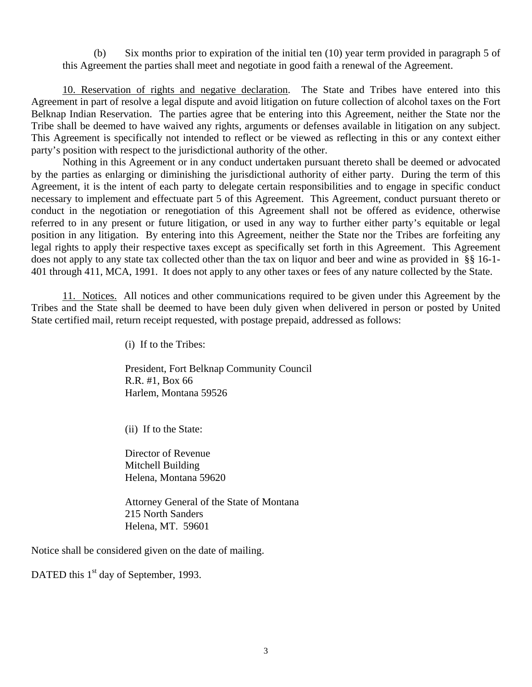(b) Six months prior to expiration of the initial ten (10) year term provided in paragraph 5 of this Agreement the parties shall meet and negotiate in good faith a renewal of the Agreement.

10. Reservation of rights and negative declaration. The State and Tribes have entered into this Agreement in part of resolve a legal dispute and avoid litigation on future collection of alcohol taxes on the Fort Belknap Indian Reservation. The parties agree that be entering into this Agreement, neither the State nor the Tribe shall be deemed to have waived any rights, arguments or defenses available in litigation on any subject. This Agreement is specifically not intended to reflect or be viewed as reflecting in this or any context either party's position with respect to the jurisdictional authority of the other.

Nothing in this Agreement or in any conduct undertaken pursuant thereto shall be deemed or advocated by the parties as enlarging or diminishing the jurisdictional authority of either party. During the term of this Agreement, it is the intent of each party to delegate certain responsibilities and to engage in specific conduct necessary to implement and effectuate part 5 of this Agreement. This Agreement, conduct pursuant thereto or conduct in the negotiation or renegotiation of this Agreement shall not be offered as evidence, otherwise referred to in any present or future litigation, or used in any way to further either party's equitable or legal position in any litigation. By entering into this Agreement, neither the State nor the Tribes are forfeiting any legal rights to apply their respective taxes except as specifically set forth in this Agreement. This Agreement does not apply to any state tax collected other than the tax on liquor and beer and wine as provided in §§ 16-1- 401 through 411, MCA, 1991. It does not apply to any other taxes or fees of any nature collected by the State.

11. Notices. All notices and other communications required to be given under this Agreement by the Tribes and the State shall be deemed to have been duly given when delivered in person or posted by United State certified mail, return receipt requested, with postage prepaid, addressed as follows:

(i) If to the Tribes:

 President, Fort Belknap Community Council R.R. #1, Box 66 Harlem, Montana 59526

(ii) If to the State:

 Director of Revenue Mitchell Building Helena, Montana 59620

 Attorney General of the State of Montana 215 North Sanders Helena, MT. 59601

Notice shall be considered given on the date of mailing.

DATED this 1<sup>st</sup> day of September, 1993.